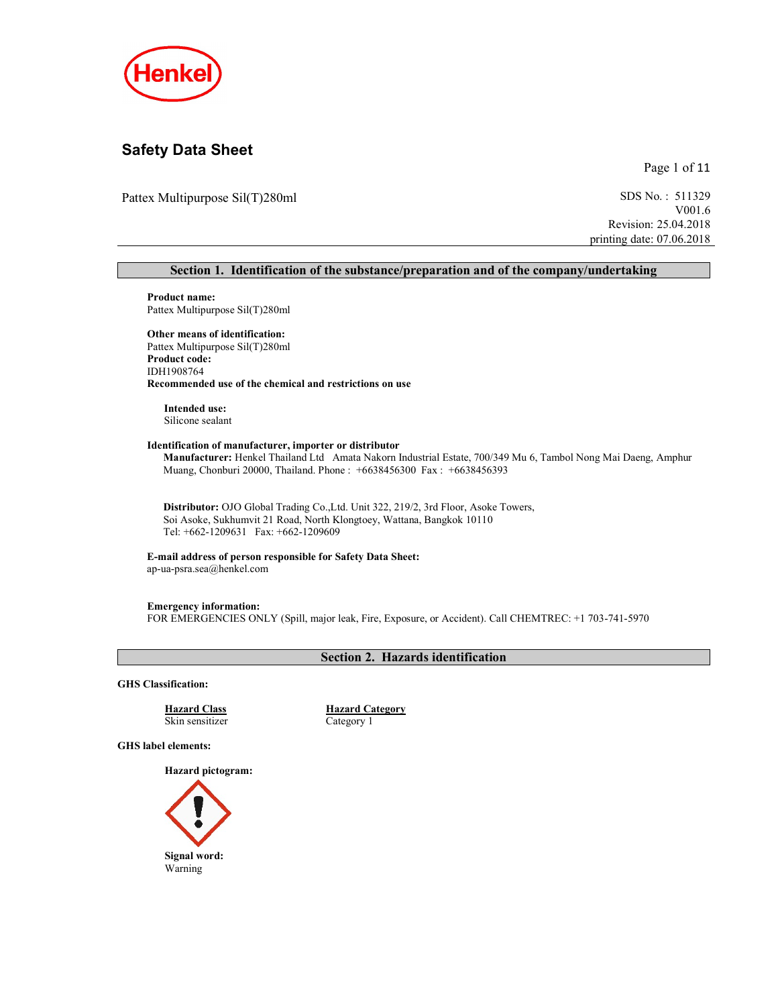

# Safety Data Sheet

Page 1 of 11

Pattex Multipurpose Sil(T)280ml SDS No.: 511329

V001.6 Revision: 25.04.2018 printing date: 07.06.2018

#### Section 1. Identification of the substance/preparation and of the company/undertaking

Product name: Pattex Multipurpose Sil(T)280ml

#### Other means of identification: Pattex Multipurpose Sil(T)280ml Product code: IDH1908764 Recommended use of the chemical and restrictions on use

Intended use: Silicone sealant

#### Identification of manufacturer, importer or distributor

Manufacturer: Henkel Thailand Ltd Amata Nakorn Industrial Estate, 700/349 Mu 6, Tambol Nong Mai Daeng, Amphur Muang, Chonburi 20000, Thailand. Phone : +6638456300 Fax : +6638456393

Distributor: OJO Global Trading Co.,Ltd. Unit 322, 219/2, 3rd Floor, Asoke Towers, Soi Asoke, Sukhumvit 21 Road, North Klongtoey, Wattana, Bangkok 10110 Tel: +662-1209631 Fax: +662-1209609

#### E-mail address of person responsible for Safety Data Sheet: ap-ua-psra.sea@henkel.com

Emergency information: FOR EMERGENCIES ONLY (Spill, major leak, Fire, Exposure, or Accident). Call CHEMTREC: +1 703-741-5970

## Section 2. Hazards identification

GHS Classification:

Skin sensitizer Category 1

Hazard Class Hazard Category

GHS label elements:

Hazard pictogram:

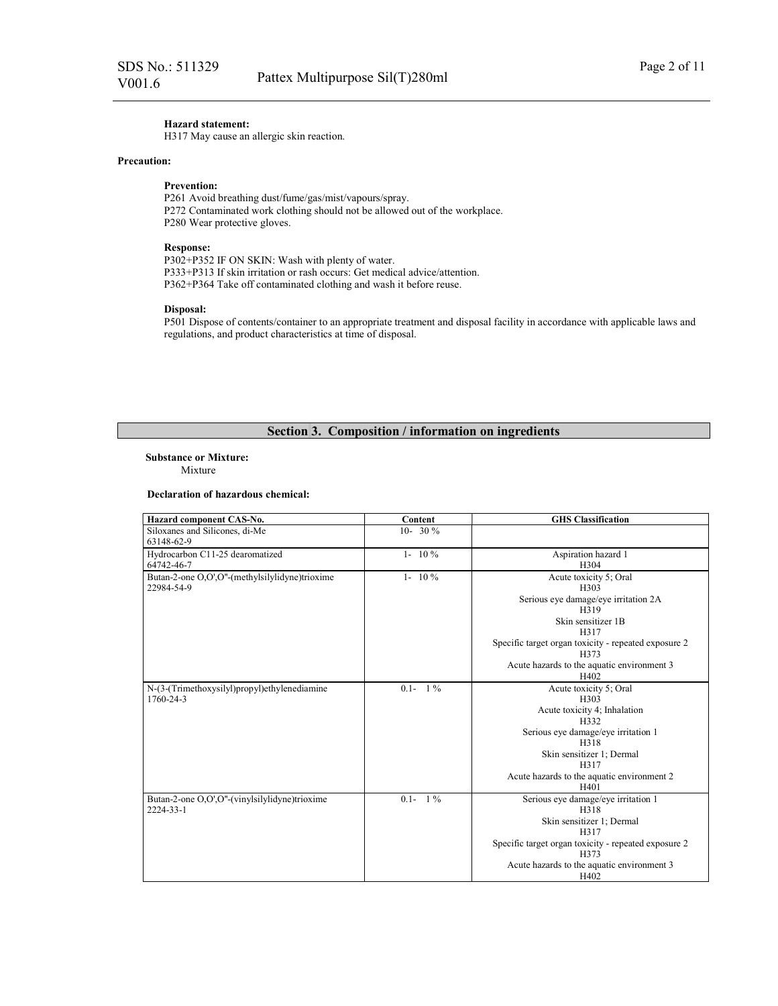## Hazard statement:

H317 May cause an allergic skin reaction.

#### Precaution:

#### Prevention:

P261 Avoid breathing dust/fume/gas/mist/vapours/spray. P272 Contaminated work clothing should not be allowed out of the workplace. P280 Wear protective gloves.

#### Response:

P302+P352 IF ON SKIN: Wash with plenty of water. P333+P313 If skin irritation or rash occurs: Get medical advice/attention. P362+P364 Take off contaminated clothing and wash it before reuse.

#### Disposal:

P501 Dispose of contents/container to an appropriate treatment and disposal facility in accordance with applicable laws and regulations, and product characteristics at time of disposal.

## Section 3. Composition / information on ingredients

#### Substance or Mixture:

Mixture

#### Declaration of hazardous chemical:

| Hazard component CAS-No.                       | Content          | <b>GHS</b> Classification                            |
|------------------------------------------------|------------------|------------------------------------------------------|
| Siloxanes and Silicones, di-Me                 | 10- 30 $\%$      |                                                      |
| 63148-62-9                                     |                  |                                                      |
| Hydrocarbon C11-25 dearomatized                | $1 - 10\%$       | Aspiration hazard 1                                  |
| 64742-46-7                                     |                  | H304                                                 |
| Butan-2-one O,O',O"-(methylsilylidyne)trioxime | $1 - 10\%$       | Acute toxicity 5; Oral                               |
| 22984-54-9                                     |                  | H303                                                 |
|                                                |                  | Serious eye damage/eye irritation 2A                 |
|                                                |                  | H319                                                 |
|                                                |                  | Skin sensitizer 1B                                   |
|                                                |                  | H317                                                 |
|                                                |                  | Specific target organ toxicity - repeated exposure 2 |
|                                                |                  | H373                                                 |
|                                                |                  | Acute hazards to the aquatic environment 3           |
|                                                |                  | H402                                                 |
| N-(3-(Trimethoxysilyl)propyl)ethylenediamine   | $0.1 - 1\%$      | Acute toxicity 5; Oral                               |
| 1760-24-3                                      |                  | H303                                                 |
|                                                |                  | Acute toxicity 4; Inhalation<br>H332                 |
|                                                |                  | Serious eye damage/eye irritation 1                  |
|                                                |                  | H318                                                 |
|                                                |                  | Skin sensitizer 1; Dermal                            |
|                                                |                  | H317                                                 |
|                                                |                  | Acute hazards to the aquatic environment 2           |
|                                                |                  | H401                                                 |
| Butan-2-one O,O',O"-(vinylsilylidyne)trioxime  | $1\%$<br>$0.1 -$ | Serious eye damage/eye irritation 1                  |
| 2224-33-1                                      |                  | H318                                                 |
|                                                |                  | Skin sensitizer 1; Dermal                            |
|                                                |                  | H317                                                 |
|                                                |                  | Specific target organ toxicity - repeated exposure 2 |
|                                                |                  | H373                                                 |
|                                                |                  | Acute hazards to the aquatic environment 3           |
|                                                |                  | H402                                                 |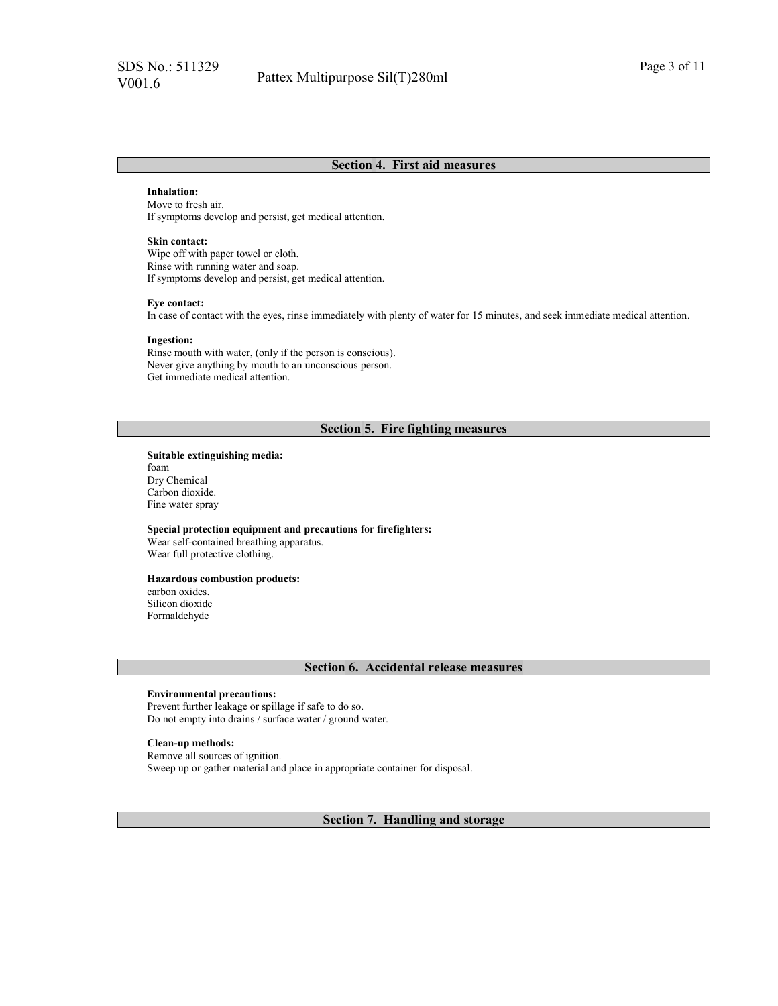#### Section 4. First aid measures

#### Inhalation:

Move to fresh air. If symptoms develop and persist, get medical attention.

#### Skin contact:

Wipe off with paper towel or cloth. Rinse with running water and soap. If symptoms develop and persist, get medical attention.

#### Eye contact:

In case of contact with the eyes, rinse immediately with plenty of water for 15 minutes, and seek immediate medical attention.

#### Ingestion:

Rinse mouth with water, (only if the person is conscious). Never give anything by mouth to an unconscious person. Get immediate medical attention.

### Section 5. Fire fighting measures

Suitable extinguishing media: foam Dry Chemical Carbon dioxide. Fine water spray

#### Special protection equipment and precautions for firefighters:

Wear self-contained breathing apparatus. Wear full protective clothing.

#### Hazardous combustion products:

carbon oxides. Silicon dioxide Formaldehyde

#### Section 6. Accidental release measures

#### Environmental precautions:

Prevent further leakage or spillage if safe to do so. Do not empty into drains / surface water / ground water.

#### Clean-up methods:

Remove all sources of ignition. Sweep up or gather material and place in appropriate container for disposal.

Section 7. Handling and storage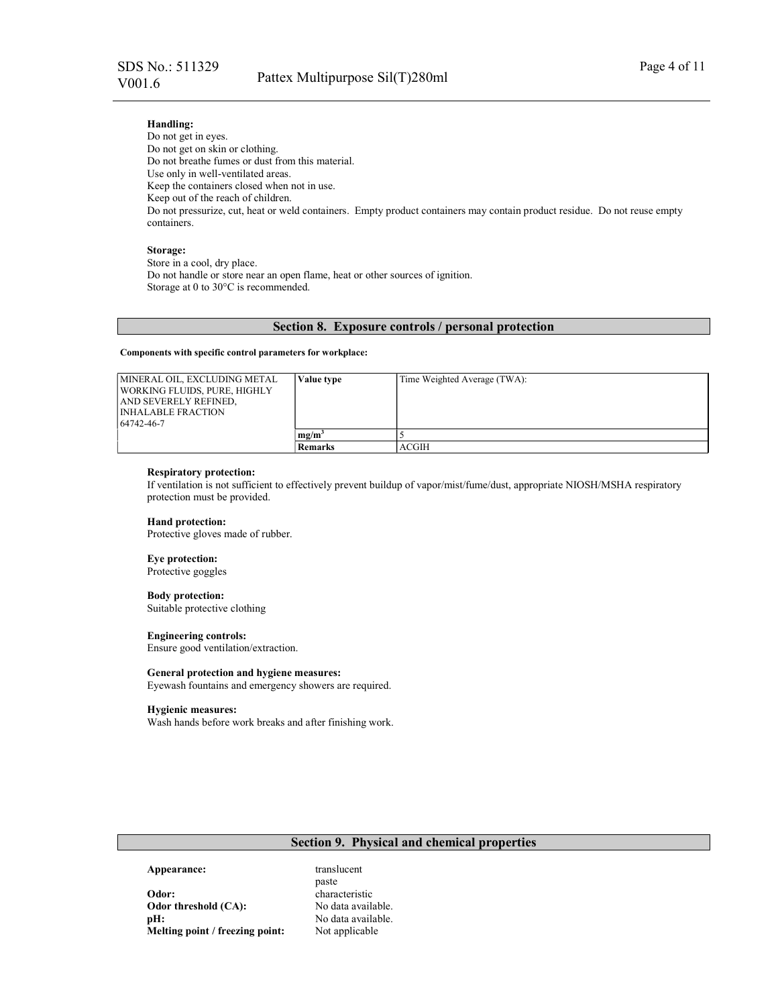## Handling:

Do not get in eyes. Do not get on skin or clothing. Do not breathe fumes or dust from this material. Use only in well-ventilated areas. Keep the containers closed when not in use. Keep out of the reach of children. Do not pressurize, cut, heat or weld containers. Empty product containers may contain product residue. Do not reuse empty containers.

#### Storage:

Store in a cool, dry place. Do not handle or store near an open flame, heat or other sources of ignition. Storage at 0 to 30°C is recommended.

#### Section 8. Exposure controls / personal protection

#### Components with specific control parameters for workplace:

| MINERAL OIL. EXCLUDING METAL | Value type     | Time Weighted Average (TWA): |
|------------------------------|----------------|------------------------------|
| WORKING FLUIDS. PURE. HIGHLY |                |                              |
| I AND SEVERELY REFINED.      |                |                              |
| INHALABLE FRACTION           |                |                              |
| 64742-46-7                   |                |                              |
|                              | $me/m^2$       |                              |
|                              | <b>Remarks</b> | ACGIH                        |

#### Respiratory protection:

If ventilation is not sufficient to effectively prevent buildup of vapor/mist/fume/dust, appropriate NIOSH/MSHA respiratory protection must be provided.

#### Hand protection:

Protective gloves made of rubber.

#### Eye protection:

Protective goggles

#### Body protection:

Suitable protective clothing

#### Engineering controls:

Ensure good ventilation/extraction.

#### General protection and hygiene measures:

Eyewash fountains and emergency showers are required.

#### Hygienic measures:

Wash hands before work breaks and after finishing work.

## Section 9. Physical and chemical properties

#### Appearance: translucent

Odor: characteristic Odor threshold (CA): No data available. pH: No data available. Melting point / freezing point: Not applicable

paste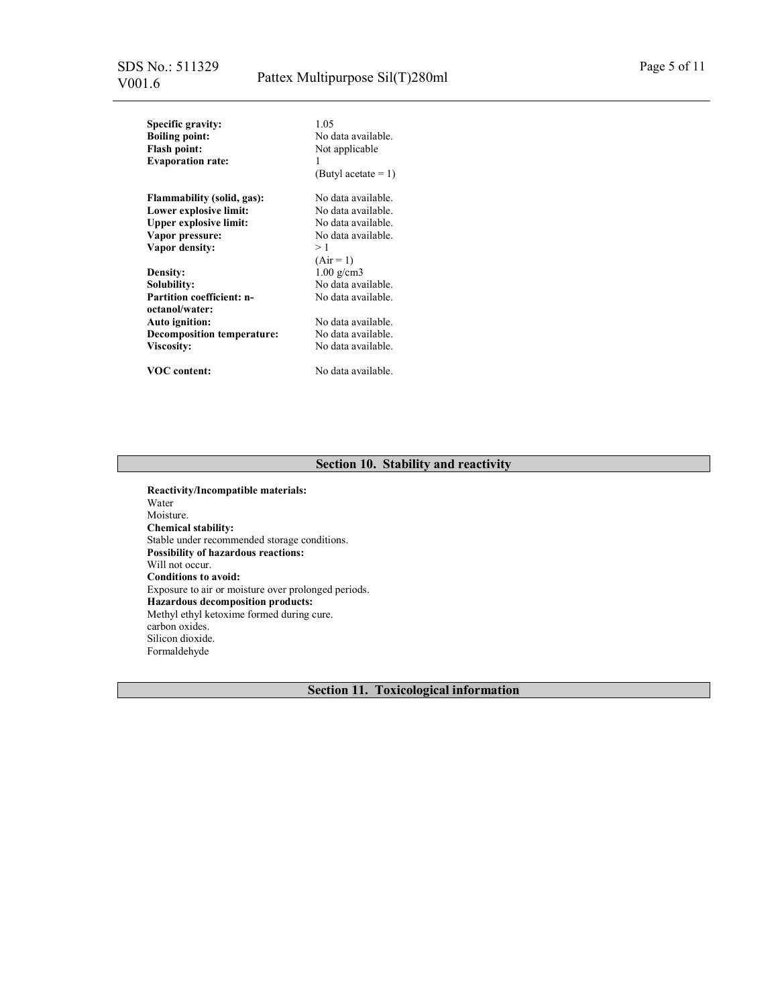| <b>Specific gravity:</b><br><b>Boiling point:</b><br><b>Flash point:</b><br><b>Evaporation rate:</b> | 1.05<br>No data available.<br>Not applicable<br>1 |
|------------------------------------------------------------------------------------------------------|---------------------------------------------------|
|                                                                                                      | (Butyl acetate $= 1$ )                            |
| Flammability (solid, gas):                                                                           | No data available.                                |
| Lower explosive limit:                                                                               | No data available.                                |
| <b>Upper explosive limit:</b>                                                                        | No data available.                                |
| Vapor pressure:                                                                                      | No data available.                                |
| Vapor density:                                                                                       | >1                                                |
|                                                                                                      | $(Air = 1)$                                       |
| <b>Density:</b>                                                                                      | $1.00 \text{ g/cm}$ 3                             |
| Solubilitv:                                                                                          | No data available.                                |
| <b>Partition coefficient: n-</b><br>octanol/water:                                                   | No data available.                                |
| <b>Auto ignition:</b>                                                                                | No data available.                                |
| <b>Decomposition temperature:</b>                                                                    | No data available.                                |
|                                                                                                      | No data available.                                |
| <b>Viscosity:</b>                                                                                    |                                                   |
| <b>VOC</b> content:                                                                                  | No data available.                                |

# Section 10. Stability and reactivity

Reactivity/Incompatible materials: Water Moisture. Chemical stability: Stable under recommended storage conditions. Possibility of hazardous reactions: Will not occur. Conditions to avoid: Exposure to air or moisture over prolonged periods. Hazardous decomposition products: Methyl ethyl ketoxime formed during cure. carbon oxides. Silicon dioxide. Formaldehyde

Section 11. Toxicological information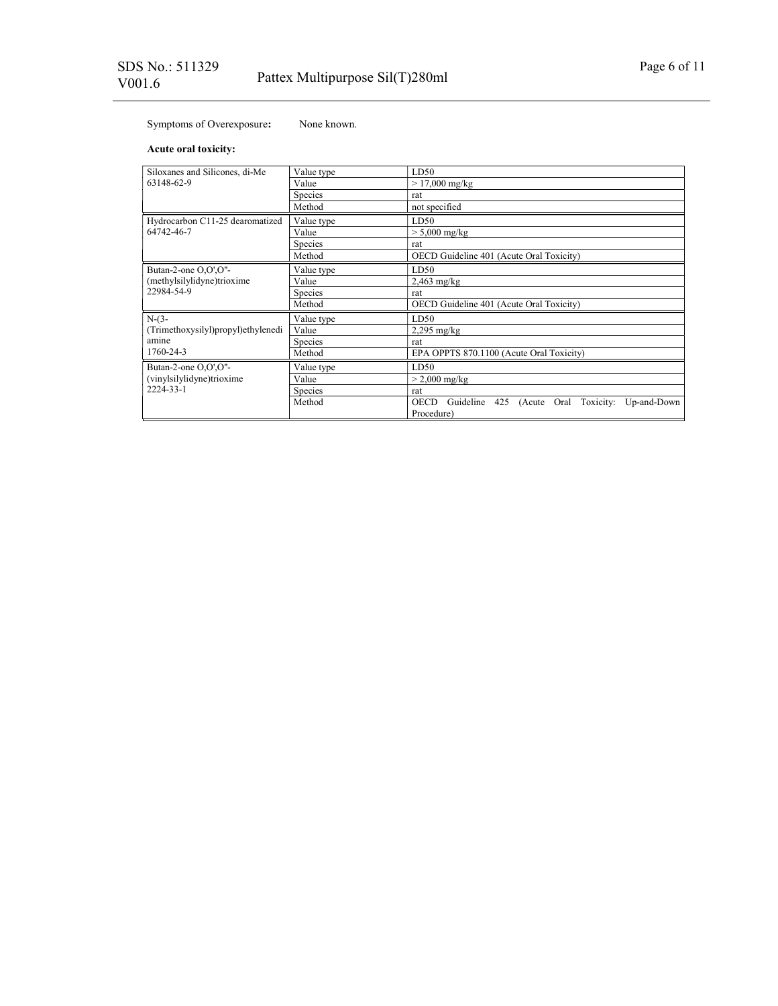# Symptoms of Overexposure: None known.

## Acute oral toxicity:

| Siloxanes and Silicones, di-Me     | Value type     | LD50                                                                            |
|------------------------------------|----------------|---------------------------------------------------------------------------------|
| 63148-62-9                         | Value          | $> 17,000$ mg/kg                                                                |
|                                    | Species        | rat                                                                             |
|                                    | Method         | not specified                                                                   |
| Hydrocarbon C11-25 dearomatized    | Value type     | LD50                                                                            |
| 64742-46-7                         | Value          | $> 5,000$ mg/kg                                                                 |
|                                    | Species        | rat                                                                             |
|                                    | Method         | OECD Guideline 401 (Acute Oral Toxicity)                                        |
| Butan-2-one O,O',O"-               | Value type     | LD50                                                                            |
| (methylsilylidyne)trioxime         | Value          | $2,463$ mg/kg                                                                   |
| 22984-54-9                         | <b>Species</b> | rat                                                                             |
|                                    | Method         | OECD Guideline 401 (Acute Oral Toxicity)                                        |
| $N-(3-$                            | Value type     | LD50                                                                            |
| (Trimethoxysilyl)propyl)ethylenedi | Value          | $2,295$ mg/kg                                                                   |
| amine                              | <b>Species</b> | rat                                                                             |
| 1760-24-3                          | Method         | EPA OPPTS 870.1100 (Acute Oral Toxicity)                                        |
| Butan-2-one O,O',O"-               | Value type     | LD50                                                                            |
| (vinylsilylidyne)trioxime          | Value          | $>$ 2,000 mg/kg                                                                 |
| 2224-33-1                          | <b>Species</b> | rat                                                                             |
|                                    | Method         | 425 (Acute Oral Toxicity: Up-and-Down<br><b>OECD</b><br>Guideline<br>Procedure) |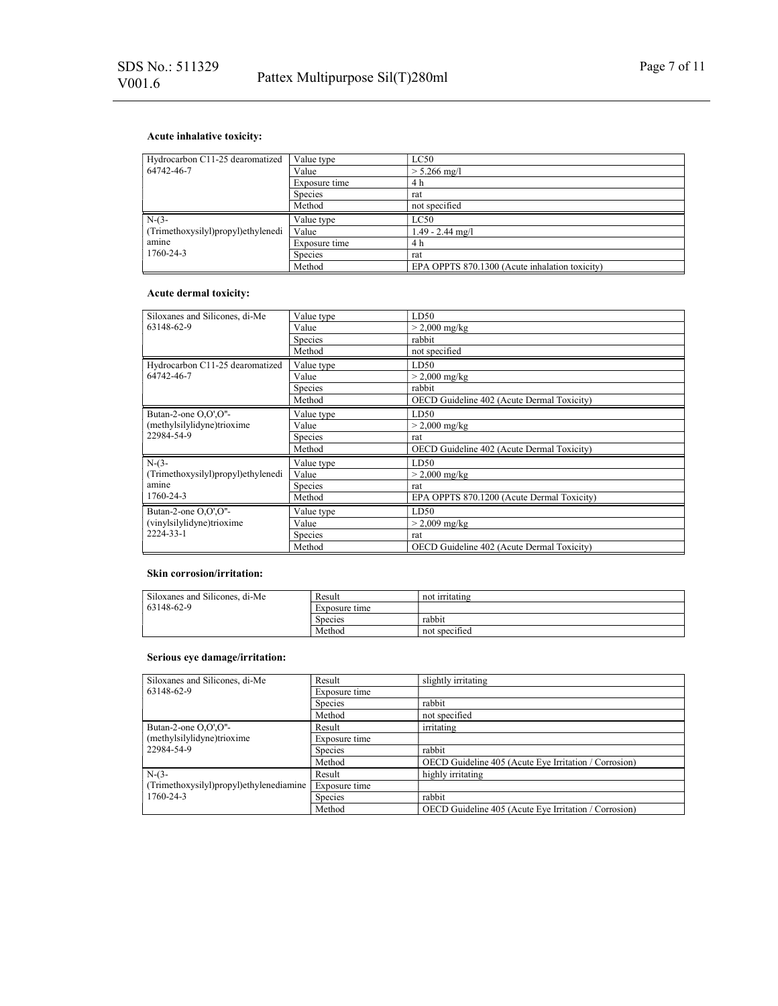## Acute inhalative toxicity:

| Hydrocarbon C11-25 dearomatized      | Value type     | LC50               |
|--------------------------------------|----------------|--------------------|
| 64742-46-7                           | Value          | $> 5.266$ mg/l     |
|                                      | Exposure time  | 4 h                |
|                                      | <b>Species</b> | rat                |
|                                      | Method         | not specified      |
|                                      |                |                    |
| $N-(3-$                              | Value type     | LC50               |
| (Trimethoxysilyl) propyl) ethylenedi | Value          | $1.49 - 2.44$ mg/l |
| amine                                | Exposure time  | 4 h                |
| 1760-24-3                            | Species        | rat                |

## Acute dermal toxicity:

| Siloxanes and Silicones, di-Me     |                | LD50                                       |
|------------------------------------|----------------|--------------------------------------------|
|                                    | Value type     |                                            |
| 63148-62-9                         | Value          | $> 2,000 \text{ mg/kg}$                    |
|                                    | <b>Species</b> | rabbit                                     |
|                                    | Method         | not specified                              |
| Hydrocarbon C11-25 dearomatized    | Value type     | LD50                                       |
| 64742-46-7                         | Value          | $> 2,000 \text{ mg/kg}$                    |
|                                    | Species        | rabbit                                     |
|                                    | Method         | OECD Guideline 402 (Acute Dermal Toxicity) |
| Butan-2-one O,O',O"-               | Value type     | LD50                                       |
| (methylsilylidyne)trioxime         | Value          | $> 2,000 \text{ mg/kg}$                    |
| 22984-54-9                         | Species        | rat                                        |
|                                    | Method         | OECD Guideline 402 (Acute Dermal Toxicity) |
| $N-(3-$                            | Value type     | LD50                                       |
| (Trimethoxysilyl)propyl)ethylenedi | Value          | $>$ 2,000 mg/kg                            |
| amine                              | Species        | rat                                        |
| 1760-24-3                          | Method         | EPA OPPTS 870.1200 (Acute Dermal Toxicity) |
| Butan-2-one O,O',O"-               | Value type     | LD50                                       |
| (vinylsilylidyne)trioxime          | Value          | $> 2,009$ mg/kg                            |
| 2224-33-1                          | Species        | rat                                        |
|                                    | Method         | OECD Guideline 402 (Acute Dermal Toxicity) |

## Skin corrosion/irritation:

| Siloxanes and Silicones, di-Me | Result         | not irritating |
|--------------------------------|----------------|----------------|
| 63148-62-9                     | Exposure time  |                |
|                                | <b>Species</b> | rabbit         |
|                                | Method         | not specified  |

## Serious eye damage/irritation:

| Siloxanes and Silicones, di-Me          | Result        | slightly irritating                                   |
|-----------------------------------------|---------------|-------------------------------------------------------|
| 63148-62-9                              | Exposure time |                                                       |
|                                         | Species       | rabbit                                                |
|                                         | Method        | not specified                                         |
| Butan-2-one $O.O'.O''-$                 | Result        | irritating                                            |
| (methylsilylidyne)trioxime              | Exposure time |                                                       |
| 22984-54-9                              | Species       | rabbit                                                |
|                                         | Method        | OECD Guideline 405 (Acute Eye Irritation / Corrosion) |
| $N-(3-$                                 | Result        | highly irritating                                     |
| (Trimethoxysilyl)propyl)ethylenediamine | Exposure time |                                                       |
| 1760-24-3                               | Species       | rabbit                                                |
|                                         | Method        | OECD Guideline 405 (Acute Eye Irritation / Corrosion) |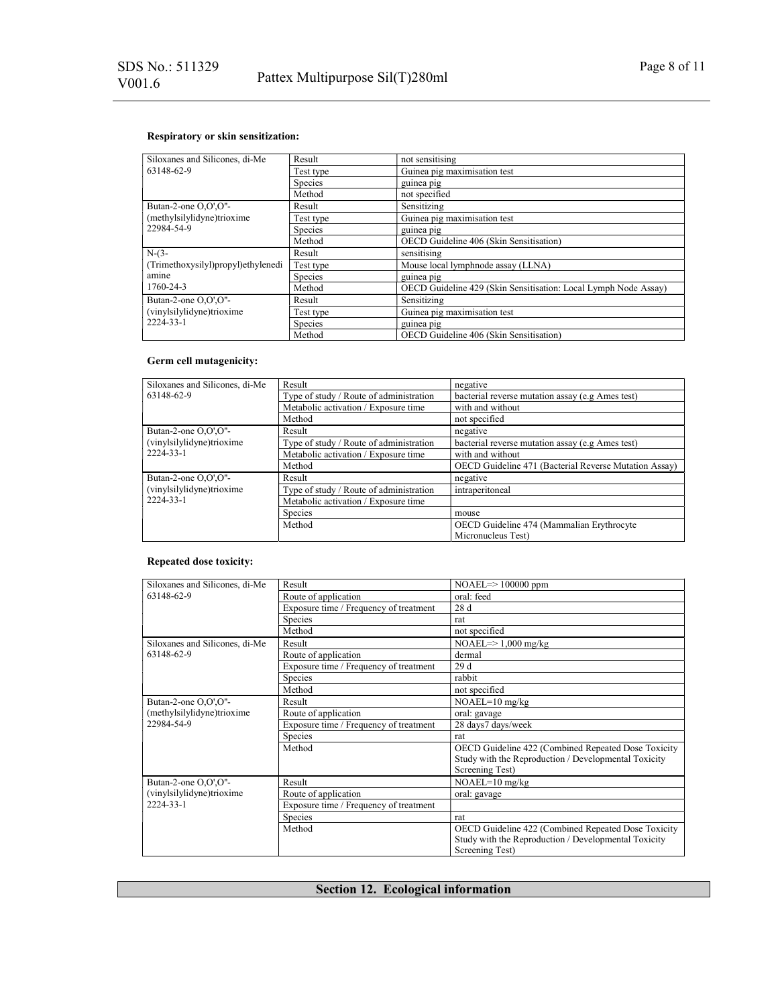## Respiratory or skin sensitization:

| Siloxanes and Silicones, di-Me     | Result         | not sensitising                                                 |
|------------------------------------|----------------|-----------------------------------------------------------------|
| 63148-62-9                         | Test type      | Guinea pig maximisation test                                    |
|                                    | Species        | guinea pig                                                      |
|                                    | Method         | not specified                                                   |
| Butan-2-one O,O',O"-               | Result         | Sensitizing                                                     |
| (methylsilylidyne)trioxime         | Test type      | Guinea pig maximisation test                                    |
| 22984-54-9                         | <b>Species</b> | guinea pig                                                      |
|                                    | Method         | OECD Guideline 406 (Skin Sensitisation)                         |
|                                    |                | sensitising                                                     |
| $N-(3-$                            | Result         |                                                                 |
| (Trimethoxysilyl)propyl)ethylenedi | Test type      | Mouse local lymphnode assay (LLNA)                              |
| amine                              | <b>Species</b> | guinea pig                                                      |
| 1760-24-3                          | Method         | OECD Guideline 429 (Skin Sensitisation: Local Lymph Node Assay) |
| Butan-2-one O,O',O"-               | Result         | Sensitizing                                                     |
| (vinylsilylidyne)trioxime          | Test type      | Guinea pig maximisation test                                    |
| 2224-33-1                          | Species        | guinea pig                                                      |

## Germ cell mutagenicity:

| Siloxanes and Silicones, di-Me | Result                                  | negative                                              |
|--------------------------------|-----------------------------------------|-------------------------------------------------------|
| 63148-62-9                     | Type of study / Route of administration | bacterial reverse mutation assay (e.g Ames test)      |
|                                | Metabolic activation / Exposure time    | with and without                                      |
|                                | Method                                  | not specified                                         |
| Butan-2-one O,O',O"-           | Result                                  | negative                                              |
| (vinylsilylidyne)trioxime      | Type of study / Route of administration | bacterial reverse mutation assay (e.g Ames test)      |
| 2224-33-1                      | Metabolic activation / Exposure time    | with and without                                      |
|                                | Method                                  | OECD Guideline 471 (Bacterial Reverse Mutation Assay) |
| Butan-2-one O,O',O"-           | Result                                  | negative                                              |
| (vinylsilylidyne)trioxime      | Type of study / Route of administration | intraperitoneal                                       |
| 2224-33-1                      | Metabolic activation / Exposure time    |                                                       |
|                                | Species                                 | mouse                                                 |
|                                | Method                                  | OECD Guideline 474 (Mammalian Erythrocyte             |
|                                |                                         | Micronucleus Test)                                    |

## Repeated dose toxicity:

| Siloxanes and Silicones, di-Me | Result                                 | $NOAEL \Rightarrow 100000$ ppm                       |
|--------------------------------|----------------------------------------|------------------------------------------------------|
| 63148-62-9                     | Route of application                   | oral: feed                                           |
|                                | Exposure time / Frequency of treatment | 28 d                                                 |
|                                | Species                                | rat                                                  |
|                                | Method                                 | not specified                                        |
| Siloxanes and Silicones, di-Me | Result                                 | $NOAEL \Rightarrow 1,000$ mg/kg                      |
| 63148-62-9                     | Route of application                   | dermal                                               |
|                                | Exposure time / Frequency of treatment | 29d                                                  |
|                                | Species                                | rabbit                                               |
|                                | Method                                 | not specified                                        |
| Butan-2-one O,O',O"-           | Result                                 | $NOAEL=10$ mg/kg                                     |
| (methylsilylidyne)trioxime     | Route of application                   | oral: gavage                                         |
| 22984-54-9                     | Exposure time / Frequency of treatment | 28 days7 days/week                                   |
|                                | Species                                | rat                                                  |
|                                | Method                                 | OECD Guideline 422 (Combined Repeated Dose Toxicity  |
|                                |                                        | Study with the Reproduction / Developmental Toxicity |
|                                |                                        | Screening Test)                                      |
| Butan-2-one O,O',O"-           | Result                                 | $NOAEL=10$ mg/kg                                     |
| (vinylsilylidyne)trioxime      | Route of application                   | oral: gavage                                         |
| 2224-33-1                      | Exposure time / Frequency of treatment |                                                      |
|                                | <b>Species</b>                         | rat                                                  |
|                                | Method                                 | OECD Guideline 422 (Combined Repeated Dose Toxicity  |
|                                |                                        | Study with the Reproduction / Developmental Toxicity |
|                                |                                        | Screening Test)                                      |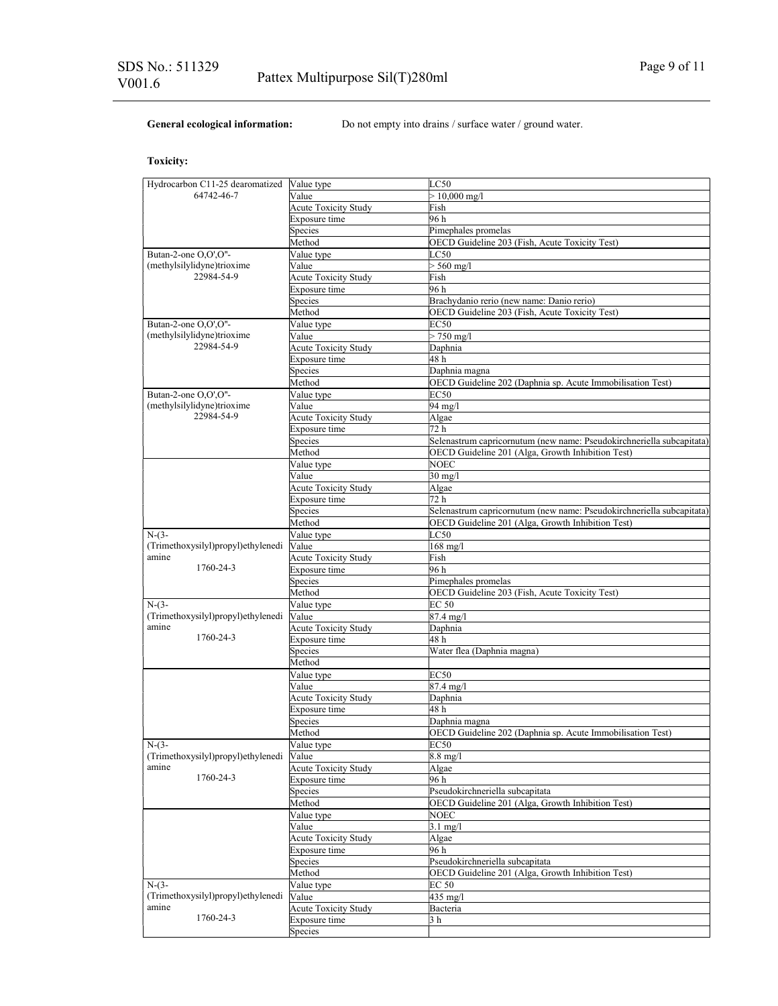General ecological information: Do not empty into drains / surface water / ground water.

## Toxicity:

| Hydrocarbon C11-25 dearomatized    | Value type                  | LC50                                                                  |
|------------------------------------|-----------------------------|-----------------------------------------------------------------------|
| 64742-46-7                         | Value                       | $> 10,000 \text{ mg/l}$                                               |
|                                    | Acute Toxicity Study        | Fish                                                                  |
|                                    | Exposure time               | 96 h                                                                  |
|                                    | Species                     | Pimephales promelas                                                   |
|                                    | Method                      | OECD Guideline 203 (Fish, Acute Toxicity Test)                        |
|                                    |                             |                                                                       |
| Butan-2-one O,O',O"-               | Value type                  | LC50                                                                  |
| (methylsilylidyne)trioxime         | Value                       | $> 560$ mg/l                                                          |
| 22984-54-9                         | <b>Acute Toxicity Study</b> | Fish                                                                  |
|                                    | Exposure time               | 96 h                                                                  |
|                                    | Species                     | Brachydanio rerio (new name: Danio rerio)                             |
|                                    | Method                      | OECD Guideline 203 (Fish, Acute Toxicity Test)                        |
| Butan-2-one O,O',O"-               | Value type                  | EC50                                                                  |
| (methylsilylidyne)trioxime         | Value                       | $> 750 \text{ mg}/1$                                                  |
| 22984-54-9                         |                             | Daphnia                                                               |
|                                    | <b>Acute Toxicity Study</b> |                                                                       |
|                                    | Exposure time               | 48 h                                                                  |
|                                    | Species                     | Daphnia magna                                                         |
|                                    | Method                      | OECD Guideline 202 (Daphnia sp. Acute Immobilisation Test)            |
| Butan-2-one O,O',O"-               | Value type                  | <b>EC50</b>                                                           |
| (methylsilylidyne)trioxime         | Value                       | 94 mg/l                                                               |
| 22984-54-9                         | <b>Acute Toxicity Study</b> | Algae                                                                 |
|                                    | Exposure time               | 72 h                                                                  |
|                                    | Species                     | Selenastrum capricornutum (new name: Pseudokirchneriella subcapitata) |
|                                    |                             | OECD Guideline 201 (Alga, Growth Inhibition Test)                     |
|                                    | Method                      |                                                                       |
|                                    | Value type                  | <b>NOEC</b>                                                           |
|                                    | Value                       | $30 \text{ mg/l}$                                                     |
|                                    | <b>Acute Toxicity Study</b> | Algae                                                                 |
|                                    | Exposure time               | 72 h                                                                  |
|                                    | Species                     | Selenastrum capricornutum (new name: Pseudokirchneriella subcapitata) |
|                                    | Method                      | OECD Guideline 201 (Alga, Growth Inhibition Test)                     |
| $N-(3-$                            | Value type                  | LC50                                                                  |
|                                    |                             |                                                                       |
| (Trimethoxysilyl)propyl)ethylenedi | Value                       | $168$ mg/l                                                            |
| amine                              | <b>Acute Toxicity Study</b> | Fish                                                                  |
| 1760-24-3                          | Exposure time               | 96 h                                                                  |
|                                    | Species                     | Pimephales promelas                                                   |
|                                    | Method                      | OECD Guideline 203 (Fish, Acute Toxicity Test)                        |
| $N-(3-$                            | Value type                  | <b>EC 50</b>                                                          |
| (Trimethoxysilyl)propyl)ethylenedi | Value                       | $87.4 \text{ mg}/1$                                                   |
| amine                              | Acute Toxicity Study        | Daphnia                                                               |
| 1760-24-3                          | Exposure time               | 48 h                                                                  |
|                                    |                             |                                                                       |
|                                    | Species                     | Water flea (Daphnia magna)                                            |
|                                    | Method                      |                                                                       |
|                                    | Value type                  | <b>EC50</b>                                                           |
|                                    | Value                       | $87.4 \text{ mg}/1$                                                   |
|                                    | <b>Acute Toxicity Study</b> | Daphnia                                                               |
|                                    | Exposure time               | 48 h                                                                  |
|                                    | Species                     | Daphnia magna                                                         |
|                                    | Method                      | OECD Guideline 202 (Daphnia sp. Acute Immobilisation Test)            |
|                                    |                             |                                                                       |
| $N-(3-$                            | Value type                  | <b>EC50</b>                                                           |
| (Trimethoxysilyl)propyl)ethylenedi | Value                       | $8.8 \text{ mg}/l$                                                    |
| amine                              | <b>Acute Toxicity Study</b> | Algae                                                                 |
| 1760-24-3                          | Exposure time               | 96 h                                                                  |
|                                    | Species                     | Pseudokirchneriella subcapitata                                       |
|                                    | Method                      | OECD Guideline 201 (Alga, Growth Inhibition Test)                     |
|                                    | Value type                  | NOEC                                                                  |
|                                    |                             | $3.1 \text{ mg/l}$                                                    |
|                                    | Value                       |                                                                       |
|                                    | <b>Acute Toxicity Study</b> | Algae                                                                 |
|                                    | Exposure time               | 96 h                                                                  |
|                                    | Species                     | Pseudokirchneriella subcapitata                                       |
|                                    | Method                      | OECD Guideline 201 (Alga, Growth Inhibition Test)                     |
| $N-(3-$                            | Value type                  | EC 50                                                                 |
| (Trimethoxysilyl)propyl)ethylenedi | Value                       | 435 mg/l                                                              |
| amine                              |                             |                                                                       |
| 1760-24-3                          | <b>Acute Toxicity Study</b> | Bacteria                                                              |
|                                    | Exposure time               | 3 h                                                                   |
|                                    | Species                     |                                                                       |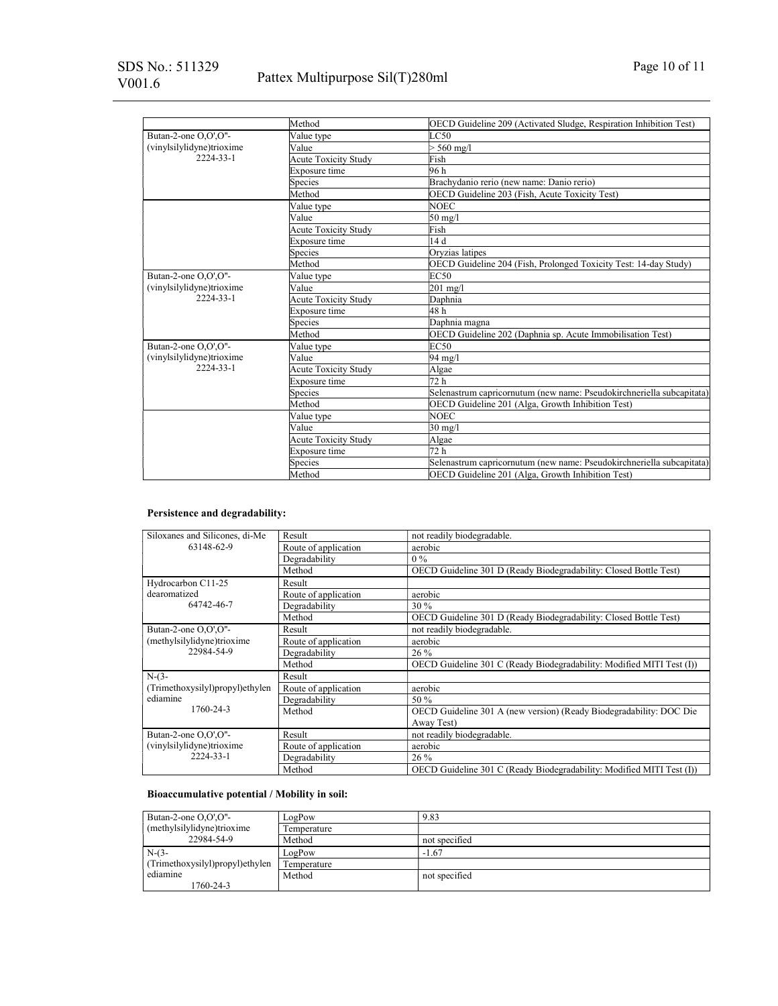# Pattex Multipurpose Sil(T)280ml

|                                        | Method                      | OECD Guideline 209 (Activated Sludge, Respiration Inhibition Test)    |
|----------------------------------------|-----------------------------|-----------------------------------------------------------------------|
| Butan-2-one O,O',O"-                   | Value type                  | LC50                                                                  |
| (vinylsilylidyne)trioxime<br>2224-33-1 | Value                       | $>$ 560 mg/l                                                          |
|                                        | <b>Acute Toxicity Study</b> | Fish                                                                  |
|                                        | Exposure time               | 96 h                                                                  |
|                                        | Species                     | Brachydanio rerio (new name: Danio rerio)                             |
|                                        | Method                      | OECD Guideline 203 (Fish, Acute Toxicity Test)                        |
|                                        | Value type                  | <b>NOEC</b>                                                           |
|                                        | Value                       | $50 \text{ mg/l}$                                                     |
|                                        | Acute Toxicity Study        | Fish                                                                  |
|                                        | Exposure time               | 14d                                                                   |
|                                        | Species                     | Oryzias latipes                                                       |
|                                        | Method                      | OECD Guideline 204 (Fish, Prolonged Toxicity Test: 14-day Study)      |
| Butan-2-one O,O',O"-                   | Value type                  | EC50                                                                  |
| (vinylsilylidyne)trioxime<br>2224-33-1 | Value                       | $201$ mg/l                                                            |
|                                        | Acute Toxicity Study        | Daphnia                                                               |
|                                        | Exposure time               | 48 h                                                                  |
|                                        | Species                     | Daphnia magna                                                         |
|                                        | Method                      | OECD Guideline 202 (Daphnia sp. Acute Immobilisation Test)            |
| Butan-2-one O,O',O"-                   | Value type                  | EC50                                                                  |
| (vinylsilylidyne)trioxime<br>2224-33-1 | Value                       | 94 mg/l                                                               |
|                                        | <b>Acute Toxicity Study</b> | Algae                                                                 |
|                                        | Exposure time               | 72h                                                                   |
|                                        | Species                     | Selenastrum capricornutum (new name: Pseudokirchneriella subcapitata) |
|                                        | Method                      | OECD Guideline 201 (Alga, Growth Inhibition Test)                     |
|                                        | Value type                  | <b>NOEC</b>                                                           |
|                                        | Value                       | $30 \text{ mg}/l$                                                     |
|                                        | Acute Toxicity Study        | Algae                                                                 |
|                                        | Exposure time               | 72 h                                                                  |
|                                        | Species                     | Selenastrum capricornutum (new name: Pseudokirchneriella subcapitata) |
|                                        | Method                      | OECD Guideline 201 (Alga, Growth Inhibition Test)                     |

# Persistence and degradability:

| Siloxanes and Silicones, di-Me           | Result               | not readily biodegradable.                                            |  |
|------------------------------------------|----------------------|-----------------------------------------------------------------------|--|
| 63148-62-9                               | Route of application | aerobic                                                               |  |
|                                          | Degradability        | $0\%$                                                                 |  |
|                                          | Method               | OECD Guideline 301 D (Ready Biodegradability: Closed Bottle Test)     |  |
| Hydrocarbon C11-25                       | Result               |                                                                       |  |
| dearomatized                             | Route of application | aerobic                                                               |  |
| 64742-46-7                               | Degradability        | 30%                                                                   |  |
|                                          | Method               | OECD Guideline 301 D (Ready Biodegradability: Closed Bottle Test)     |  |
| Butan-2-one O,O',O"-                     | Result               | not readily biodegradable.                                            |  |
| (methylsilylidyne)trioxime<br>22984-54-9 | Route of application | aerobic                                                               |  |
|                                          | Degradability        | 26 %                                                                  |  |
|                                          | Method               | OECD Guideline 301 C (Ready Biodegradability: Modified MITI Test (I)) |  |
| $N-(3-$                                  | Result               |                                                                       |  |
| (Trimethoxysilyl)propyl)ethylen          | Route of application | aerobic                                                               |  |
| ediamine                                 | Degradability        | 50 %                                                                  |  |
| 1760-24-3                                | Method               | OECD Guideline 301 A (new version) (Ready Biodegradability: DOC Die   |  |
|                                          |                      | Away Test)                                                            |  |
| Butan-2-one O.O'.O"-                     | Result               | not readily biodegradable.                                            |  |
| (vinylsilylidyne)trioxime                | Route of application | aerobic                                                               |  |
| 2224-33-1                                | Degradability        | 26 %                                                                  |  |
|                                          | Method               | OECD Guideline 301 C (Ready Biodegradability: Modified MITI Test (I)) |  |

## Bioaccumulative potential / Mobility in soil:

| Butan-2-one $O.O'.O''-$         | LogPow      | 9.83          |
|---------------------------------|-------------|---------------|
| (methylsilylidyne)trioxime      | Temperature |               |
| 22984-54-9                      | Method      | not specified |
| $N-(3-$                         | LogPow      | $-1.67$       |
| (Trimethoxysilyl)propyl)ethylen | Temperature |               |
| ediamine                        | Method      | not specified |
| 1760-24-3                       |             |               |